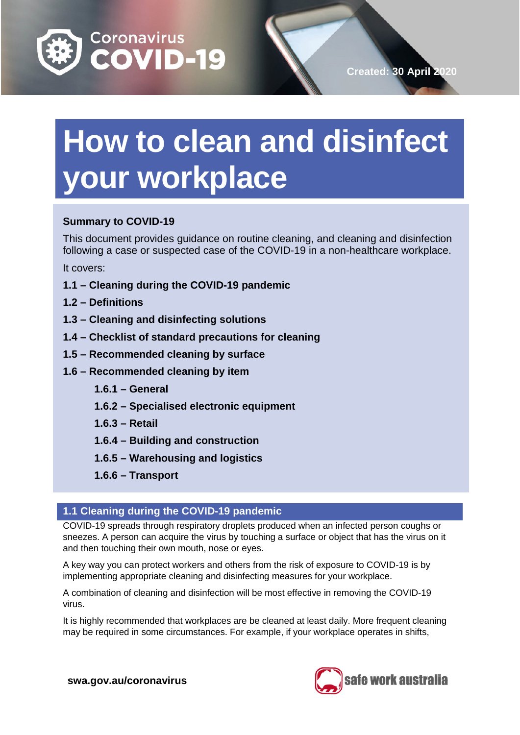

# **How to clean and disinfect your workplace**

### **Summary to COVID-19**

This document provides guidance on routine cleaning, and cleaning and disinfection following a case or suspected case of the COVID-19 in a non-healthcare workplace.

It covers:

- **1.1 Cleaning during the COVID-19 pandemic**
- **1.2 Definitions**
- **1.3 Cleaning and disinfecting solutions**
- **1.4 Checklist of standard precautions for cleaning**
- **1.5 Recommended cleaning by surface**
- **1.6 Recommended cleaning by item** 
	- **1.6.1 General**
	- **1.6.2 Specialised electronic equipment**
	- **1.6.3 Retail**
	- **1.6.4 Building and construction**
	- **1.6.5 Warehousing and logistics**
	- **1.6.6 Transport**

### **1.1 Cleaning during the COVID-19 pandemic**

COVID-19 spreads through respiratory droplets produced when an infected person coughs or sneezes. A person can acquire the virus by touching a surface or object that has the virus on it and then touching their own mouth, nose or eyes.

A key way you can protect workers and others from the risk of exposure to COVID-19 is by implementing appropriate cleaning and disinfecting measures for your workplace.

A combination of cleaning and disinfection will be most effective in removing the COVID-19 virus.

It is highly recommended that workplaces are be cleaned at least daily. More frequent cleaning may be required in some circumstances. For example, if your workplace operates in shifts,

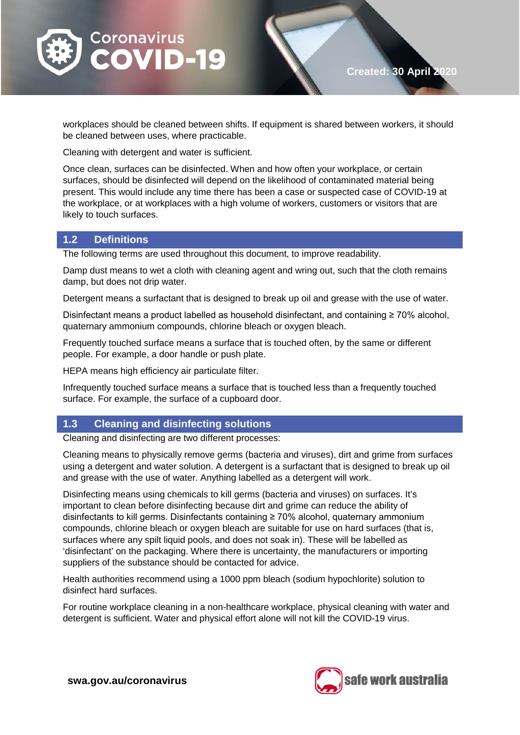

workplaces should be cleaned between shifts. If equipment is shared between workers, it should be cleaned between uses, where practicable.

Cleaning with detergent and water is sufficient.

Once clean, surfaces can be disinfected. When and how often your workplace, or certain surfaces, should be disinfected will depend on the likelihood of contaminated material being present. This would include any time there has been a case or suspected case of COVID-19 at the workplace, or at workplaces with a high volume of workers, customers or visitors that are likely to touch surfaces.

#### **1.2 Definitions**

The following terms are used throughout this document, to improve readability.

Damp dust means to wet a cloth with cleaning agent and wring out, such that the cloth remains damp, but does not drip water.

Detergent means a surfactant that is designed to break up oil and grease with the use of water.

Disinfectant means a product labelled as household disinfectant, and containing ≥ 70% alcohol, quaternary ammonium compounds, chlorine bleach or oxygen bleach.

Frequently touched surface means a surface that is touched often, by the same or different people. For example, a door handle or push plate.

HEPA means high efficiency air particulate filter.

Infrequently touched surface means a surface that is touched less than a frequently touched surface. For example, the surface of a cupboard door.

#### **1.3 Cleaning and disinfecting solutions**

Cleaning and disinfecting are two different processes:

Cleaning means to physically remove germs (bacteria and viruses), dirt and grime from surfaces using a detergent and water solution. A detergent is a surfactant that is designed to break up oil and grease with the use of water. Anything labelled as a detergent will work.

Disinfecting means using chemicals to kill germs (bacteria and viruses) on surfaces. It's important to clean before disinfecting because dirt and grime can reduce the ability of disinfectants to kill germs. Disinfectants containing ≥ 70% alcohol, quaternary ammonium compounds, chlorine bleach or oxygen bleach are suitable for use on hard surfaces (that is, surfaces where any spilt liquid pools, and does not soak in). These will be labelled as 'disinfectant' on the packaging. Where there is uncertainty, the manufacturers or importing suppliers of the substance should be contacted for advice.

Health authorities recommend using a 1000 ppm bleach (sodium hypochlorite) solution to disinfect hard surfaces.

For routine workplace cleaning in a non-healthcare workplace, physical cleaning with water and detergent is sufficient. Water and physical effort alone will not kill the COVID-19 virus.

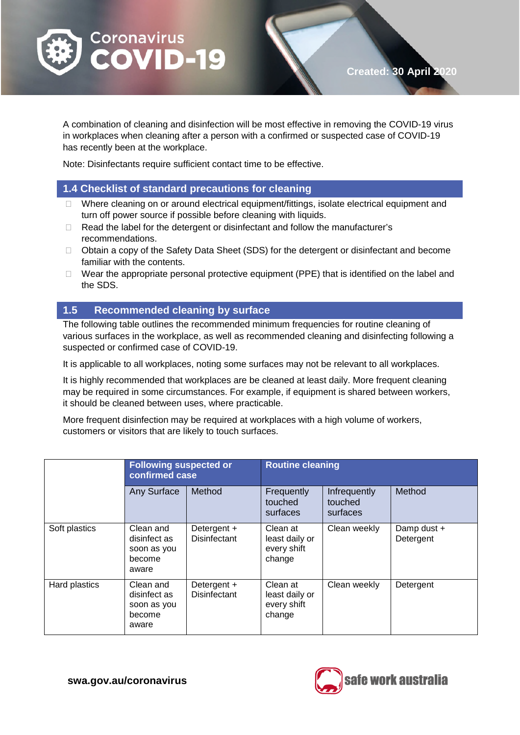

A combination of cleaning and disinfection will be most effective in removing the COVID-19 virus in workplaces when cleaning after a person with a confirmed or suspected case of COVID-19 has recently been at the workplace.

Note: Disinfectants require sufficient contact time to be effective.

#### **1.4 Checklist of standard precautions for cleaning**

- $\Box$  Where cleaning on or around electrical equipment/fittings, isolate electrical equipment and turn off power source if possible before cleaning with liquids.
- □ Read the label for the detergent or disinfectant and follow the manufacturer's recommendations.
- □ Obtain a copy of the Safety Data Sheet (SDS) for the detergent or disinfectant and become familiar with the contents.
- $\Box$  Wear the appropriate personal protective equipment (PPE) that is identified on the label and the SDS.

#### **1.5 Recommended cleaning by surface**

The following table outlines the recommended minimum frequencies for routine cleaning of various surfaces in the workplace, as well as recommended cleaning and disinfecting following a suspected or confirmed case of COVID-19.

It is applicable to all workplaces, noting some surfaces may not be relevant to all workplaces.

It is highly recommended that workplaces are be cleaned at least daily. More frequent cleaning may be required in some circumstances. For example, if equipment is shared between workers, it should be cleaned between uses, where practicable.

More frequent disinfection may be required at workplaces with a high volume of workers, customers or visitors that are likely to touch surfaces.

|               | <b>Following suspected or</b><br>confirmed case             |                                    | <b>Routine cleaning</b>                             |                                     |                          |
|---------------|-------------------------------------------------------------|------------------------------------|-----------------------------------------------------|-------------------------------------|--------------------------|
|               | Any Surface                                                 | Method                             | Frequently<br>touched<br>surfaces                   | Infrequently<br>touched<br>surfaces | Method                   |
| Soft plastics | Clean and<br>disinfect as<br>soon as you<br>become<br>aware | Detergent +<br><b>Disinfectant</b> | Clean at<br>least daily or<br>every shift<br>change | Clean weekly                        | Damp dust +<br>Detergent |
| Hard plastics | Clean and<br>disinfect as<br>soon as you<br>become<br>aware | Detergent +<br><b>Disinfectant</b> | Clean at<br>least daily or<br>every shift<br>change | Clean weekly                        | Detergent                |

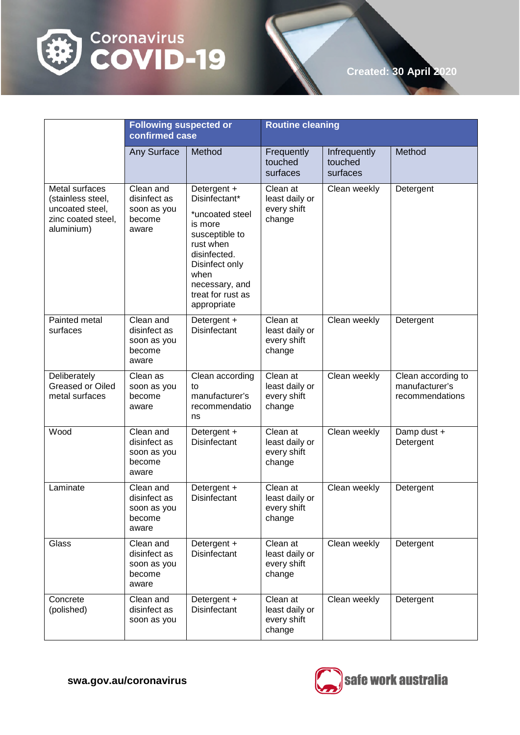

# **Coronavirus**<br>**COVID-19**

|                                                                                            | <b>Following suspected or</b><br>confirmed case             |                                                                                                                                                                                           | <b>Routine cleaning</b>                             |                                     |                                                         |
|--------------------------------------------------------------------------------------------|-------------------------------------------------------------|-------------------------------------------------------------------------------------------------------------------------------------------------------------------------------------------|-----------------------------------------------------|-------------------------------------|---------------------------------------------------------|
|                                                                                            | Any Surface                                                 | Method                                                                                                                                                                                    | Frequently<br>touched<br>surfaces                   | Infrequently<br>touched<br>surfaces | Method                                                  |
| Metal surfaces<br>(stainless steel,<br>uncoated steel,<br>zinc coated steel,<br>aluminium) | Clean and<br>disinfect as<br>soon as you<br>become<br>aware | Detergent +<br>Disinfectant*<br>*uncoated steel<br>is more<br>susceptible to<br>rust when<br>disinfected.<br>Disinfect only<br>when<br>necessary, and<br>treat for rust as<br>appropriate | Clean at<br>least daily or<br>every shift<br>change | Clean weekly                        | Detergent                                               |
| Painted metal<br>surfaces                                                                  | Clean and<br>disinfect as<br>soon as you<br>become<br>aware | Detergent +<br><b>Disinfectant</b>                                                                                                                                                        | Clean at<br>least daily or<br>every shift<br>change | Clean weekly                        | Detergent                                               |
| Deliberately<br><b>Greased or Oiled</b><br>metal surfaces                                  | Clean as<br>soon as you<br>become<br>aware                  | Clean according<br>to<br>manufacturer's<br>recommendatio<br>ns                                                                                                                            | Clean at<br>least daily or<br>every shift<br>change | Clean weekly                        | Clean according to<br>manufacturer's<br>recommendations |
| Wood                                                                                       | Clean and<br>disinfect as<br>soon as you<br>become<br>aware | Detergent +<br><b>Disinfectant</b>                                                                                                                                                        | Clean at<br>least daily or<br>every shift<br>change | Clean weekly                        | Damp dust +<br>Detergent                                |
| Laminate                                                                                   | Clean and<br>disinfect as<br>soon as you<br>become<br>aware | Detergent +<br><b>Disinfectant</b>                                                                                                                                                        | Clean at<br>least daily or<br>every shift<br>change | Clean weekly                        | Detergent                                               |
| Glass                                                                                      | Clean and<br>disinfect as<br>soon as you<br>become<br>aware | Detergent +<br>Disinfectant                                                                                                                                                               | Clean at<br>least daily or<br>every shift<br>change | Clean weekly                        | Detergent                                               |
| Concrete<br>(polished)                                                                     | Clean and<br>disinfect as<br>soon as you                    | Detergent +<br>Disinfectant                                                                                                                                                               | Clean at<br>least daily or<br>every shift<br>change | Clean weekly                        | Detergent                                               |

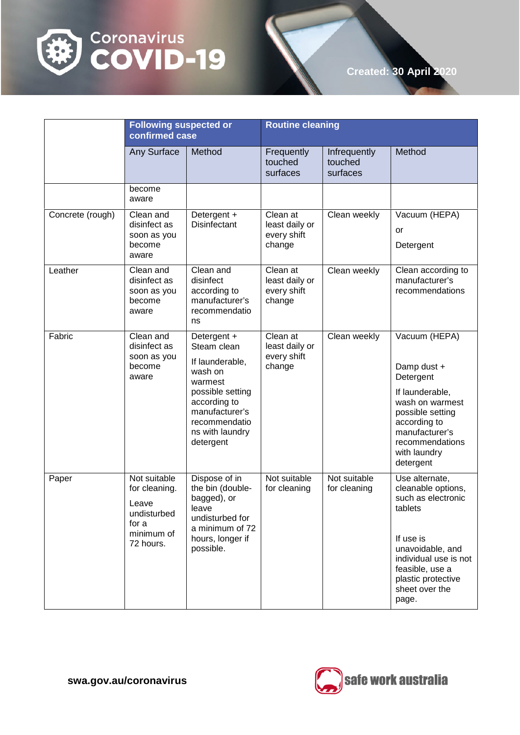



|                  | <b>Following suspected or</b><br>confirmed case                                           |                                                                                                                                                                            | <b>Routine cleaning</b>                             |                                     |                                                                                                                                                                                                     |
|------------------|-------------------------------------------------------------------------------------------|----------------------------------------------------------------------------------------------------------------------------------------------------------------------------|-----------------------------------------------------|-------------------------------------|-----------------------------------------------------------------------------------------------------------------------------------------------------------------------------------------------------|
|                  | Any Surface                                                                               | Method                                                                                                                                                                     | Frequently<br>touched<br>surfaces                   | Infrequently<br>touched<br>surfaces | Method                                                                                                                                                                                              |
|                  | become<br>aware                                                                           |                                                                                                                                                                            |                                                     |                                     |                                                                                                                                                                                                     |
| Concrete (rough) | Clean and<br>disinfect as<br>soon as you<br>become<br>aware                               | Detergent +<br>Disinfectant                                                                                                                                                | Clean at<br>least daily or<br>every shift<br>change | Clean weekly                        | Vacuum (HEPA)<br>or<br>Detergent                                                                                                                                                                    |
| Leather          | Clean and<br>disinfect as<br>soon as you<br>become<br>aware                               | Clean and<br>disinfect<br>according to<br>manufacturer's<br>recommendatio<br>ns                                                                                            | Clean at<br>least daily or<br>every shift<br>change | Clean weekly                        | Clean according to<br>manufacturer's<br>recommendations                                                                                                                                             |
| Fabric           | Clean and<br>disinfect as<br>soon as you<br>become<br>aware                               | Detergent +<br>Steam clean<br>If launderable,<br>wash on<br>warmest<br>possible setting<br>according to<br>manufacturer's<br>recommendatio<br>ns with laundry<br>detergent | Clean at<br>least daily or<br>every shift<br>change | Clean weekly                        | Vacuum (HEPA)<br>Damp dust +<br>Detergent<br>If launderable,<br>wash on warmest<br>possible setting<br>according to<br>manufacturer's<br>recommendations<br>with laundry<br>detergent               |
| Paper            | Not suitable<br>for cleaning.<br>Leave<br>undisturbed<br>for a<br>minimum of<br>72 hours. | Dispose of in<br>the bin (double-<br>bagged), or<br>leave<br>undisturbed for<br>a minimum of 72<br>hours, longer if<br>possible.                                           | Not suitable<br>for cleaning                        | Not suitable<br>for cleaning        | Use alternate,<br>cleanable options,<br>such as electronic<br>tablets<br>If use is<br>unavoidable, and<br>individual use is not<br>feasible, use a<br>plastic protective<br>sheet over the<br>page. |

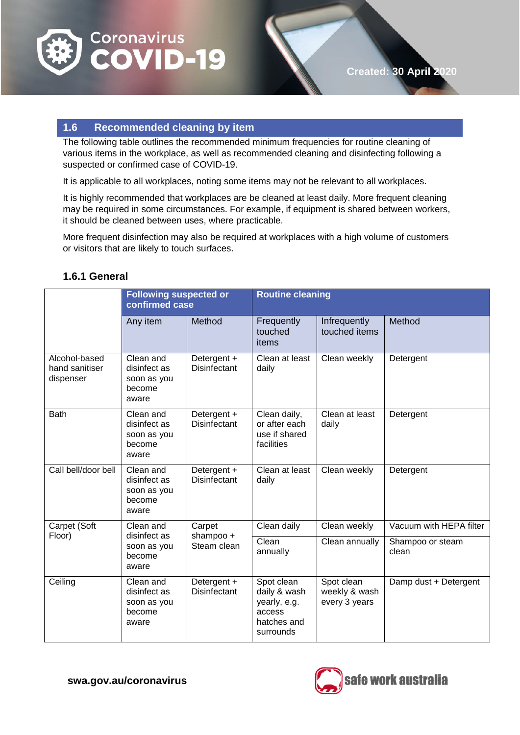



#### **1.6 Recommended cleaning by item**

The following table outlines the recommended minimum frequencies for routine cleaning of various items in the workplace, as well as recommended cleaning and disinfecting following a suspected or confirmed case of COVID-19.

It is applicable to all workplaces, noting some items may not be relevant to all workplaces.

It is highly recommended that workplaces are be cleaned at least daily. More frequent cleaning may be required in some circumstances. For example, if equipment is shared between workers, it should be cleaned between uses, where practicable.

More frequent disinfection may also be required at workplaces with a high volume of customers or visitors that are likely to touch surfaces.

#### **1.6.1 General**

|                                              | <b>Following suspected or</b><br>confirmed case             |                                    | <b>Routine cleaning</b>                                                          |                                              |                           |
|----------------------------------------------|-------------------------------------------------------------|------------------------------------|----------------------------------------------------------------------------------|----------------------------------------------|---------------------------|
|                                              | Any item                                                    | Method                             | Frequently<br>touched<br>items                                                   | Infrequently<br>touched items                | Method                    |
| Alcohol-based<br>hand sanitiser<br>dispenser | Clean and<br>disinfect as<br>soon as you<br>become<br>aware | Detergent +<br>Disinfectant        | Clean at least<br>daily                                                          | Clean weekly                                 | Detergent                 |
| <b>Bath</b>                                  | Clean and<br>disinfect as<br>soon as you<br>become<br>aware | Detergent +<br><b>Disinfectant</b> | Clean daily,<br>or after each<br>use if shared<br>facilities                     | Clean at least<br>daily                      | Detergent                 |
| Call bell/door bell                          | Clean and<br>disinfect as<br>soon as you<br>become<br>aware | Detergent +<br><b>Disinfectant</b> | Clean at least<br>daily                                                          | Clean weekly                                 | Detergent                 |
| Carpet (Soft<br>Floor)                       | Clean and                                                   | Carpet                             | Clean daily                                                                      | Clean weekly                                 | Vacuum with HEPA filter   |
|                                              | disinfect as<br>shampoo +<br>soon as you<br>become<br>aware | Steam clean                        | Clean<br>annually                                                                | Clean annually                               | Shampoo or steam<br>clean |
| Ceiling                                      | Clean and<br>disinfect as<br>soon as you<br>become<br>aware | Detergent +<br><b>Disinfectant</b> | Spot clean<br>daily & wash<br>yearly, e.g.<br>access<br>hatches and<br>surrounds | Spot clean<br>weekly & wash<br>every 3 years | Damp dust + Detergent     |

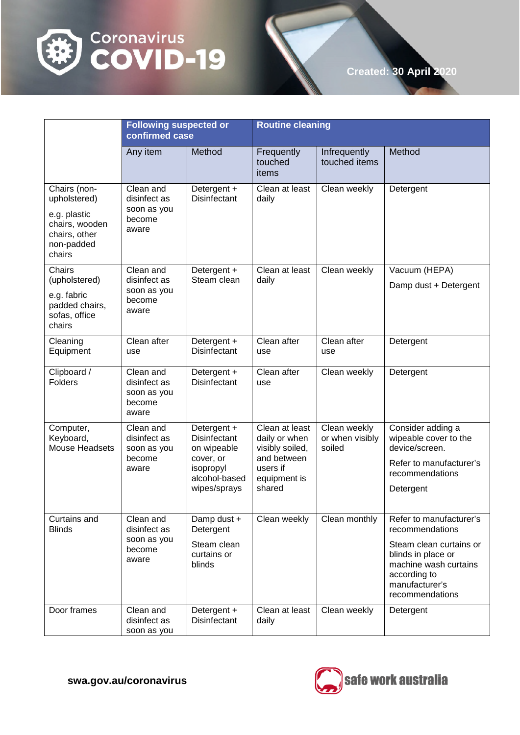



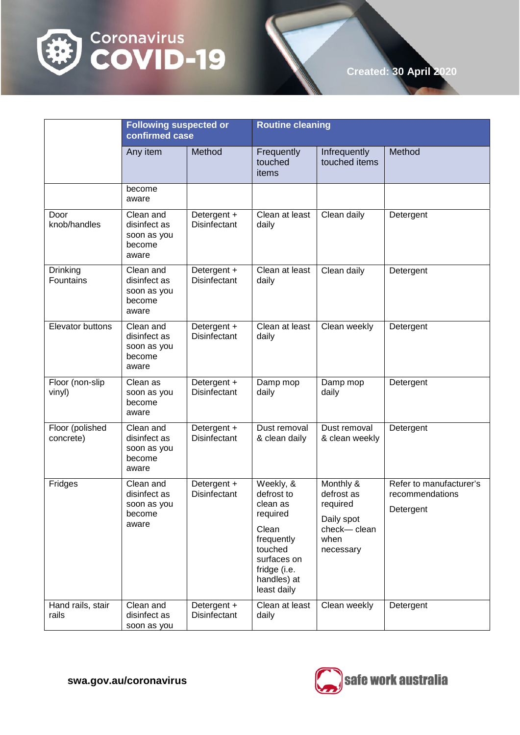

|                              | <b>Following suspected or</b><br>confirmed case             |                                    | <b>Routine cleaning</b>                                                                                                                        |                                                                                       |                                                         |
|------------------------------|-------------------------------------------------------------|------------------------------------|------------------------------------------------------------------------------------------------------------------------------------------------|---------------------------------------------------------------------------------------|---------------------------------------------------------|
|                              | Any item                                                    | Method                             | Frequently<br>touched<br>items                                                                                                                 | Infrequently<br>touched items                                                         | Method                                                  |
|                              | become<br>aware                                             |                                    |                                                                                                                                                |                                                                                       |                                                         |
| Door<br>knob/handles         | Clean and<br>disinfect as<br>soon as you<br>become<br>aware | Detergent +<br>Disinfectant        | Clean at least<br>daily                                                                                                                        | Clean daily                                                                           | Detergent                                               |
| Drinking<br>Fountains        | Clean and<br>disinfect as<br>soon as you<br>become<br>aware | Detergent +<br><b>Disinfectant</b> | Clean at least<br>daily                                                                                                                        | Clean daily                                                                           | Detergent                                               |
| Elevator buttons             | Clean and<br>disinfect as<br>soon as you<br>become<br>aware | Detergent +<br><b>Disinfectant</b> | Clean at least<br>daily                                                                                                                        | Clean weekly                                                                          | Detergent                                               |
| Floor (non-slip<br>vinyl)    | Clean as<br>soon as you<br>become<br>aware                  | Detergent +<br>Disinfectant        | Damp mop<br>daily                                                                                                                              | Damp mop<br>daily                                                                     | Detergent                                               |
| Floor (polished<br>concrete) | Clean and<br>disinfect as<br>soon as you<br>become<br>aware | Detergent +<br>Disinfectant        | Dust removal<br>& clean daily                                                                                                                  | Dust removal<br>& clean weekly                                                        | Detergent                                               |
| Fridges                      | Clean and<br>disinfect as<br>soon as you<br>pecome<br>aware | Detergent +<br>Disinfectant        | Weekly, &<br>defrost to<br>clean as<br>required<br>Clean<br>frequently<br>touched<br>surfaces on<br>fridge (i.e.<br>handles) at<br>least daily | Monthly &<br>defrost as<br>required<br>Daily spot<br>check-clean<br>when<br>necessary | Refer to manufacturer's<br>recommendations<br>Detergent |
| Hand rails, stair<br>rails   | Clean and<br>disinfect as<br>soon as you                    | Detergent +<br><b>Disinfectant</b> | Clean at least<br>daily                                                                                                                        | Clean weekly                                                                          | Detergent                                               |

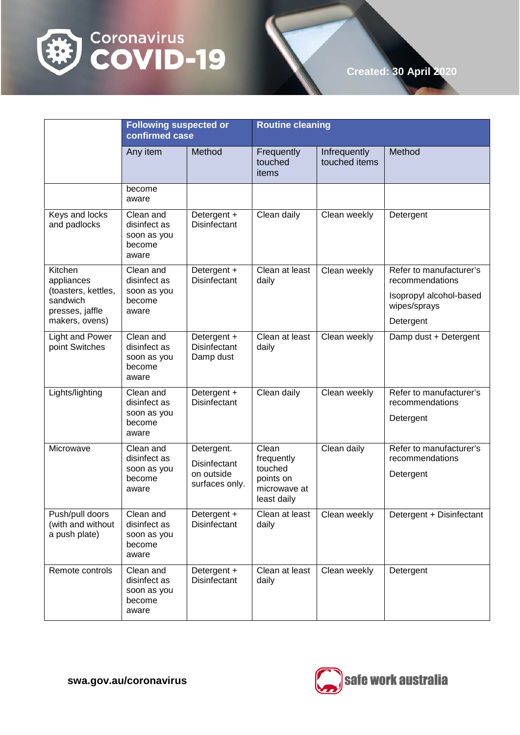

# Coronavirus<br>**COVID-19**





**Created: 30 April 2020**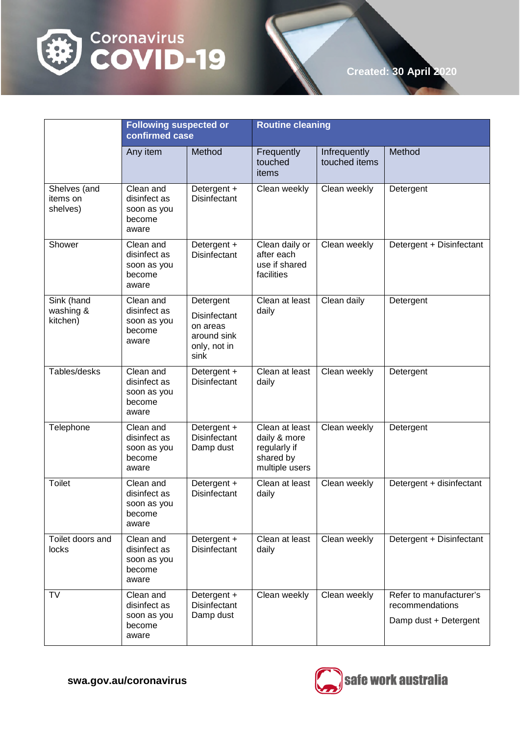

|                                      | <b>Following suspected or</b><br>confirmed case             |                                                                                     |                                                                               | <b>Routine cleaning</b>       |                                                                     |  |
|--------------------------------------|-------------------------------------------------------------|-------------------------------------------------------------------------------------|-------------------------------------------------------------------------------|-------------------------------|---------------------------------------------------------------------|--|
|                                      | Any item                                                    | Method                                                                              | Frequently<br>touched<br>items                                                | Infrequently<br>touched items | Method                                                              |  |
| Shelves (and<br>items on<br>shelves) | Clean and<br>disinfect as<br>soon as you<br>become<br>aware | Detergent +<br><b>Disinfectant</b>                                                  | Clean weekly                                                                  | Clean weekly                  | Detergent                                                           |  |
| Shower                               | Clean and<br>disinfect as<br>soon as you<br>become<br>aware | Detergent +<br>Disinfectant                                                         | Clean daily or<br>after each<br>use if shared<br>facilities                   | Clean weekly                  | Detergent + Disinfectant                                            |  |
| Sink (hand<br>washing &<br>kitchen)  | Clean and<br>disinfect as<br>soon as you<br>become<br>aware | Detergent<br><b>Disinfectant</b><br>on areas<br>around sink<br>only, not in<br>sink | Clean at least<br>daily                                                       | Clean daily                   | Detergent                                                           |  |
| Tables/desks                         | Clean and<br>disinfect as<br>soon as you<br>become<br>aware | Detergent +<br>Disinfectant                                                         | Clean at least<br>daily                                                       | Clean weekly                  | Detergent                                                           |  |
| Telephone                            | Clean and<br>disinfect as<br>soon as you<br>become<br>aware | Detergent +<br><b>Disinfectant</b><br>Damp dust                                     | Clean at least<br>daily & more<br>regularly if<br>shared by<br>multiple users | Clean weekly                  | Detergent                                                           |  |
| <b>Toilet</b>                        | Clean and<br>disinfect as<br>soon as you<br>become<br>aware | Detergent +<br>Disinfectant                                                         | Clean at least<br>daily                                                       | Clean weekly                  | Detergent + disinfectant                                            |  |
| Toilet doors and<br>locks            | Clean and<br>disinfect as<br>soon as you<br>become<br>aware | Detergent +<br><b>Disinfectant</b>                                                  | Clean at least<br>daily                                                       | Clean weekly                  | Detergent + Disinfectant                                            |  |
| TV                                   | Clean and<br>disinfect as<br>soon as you<br>become<br>aware | Detergent +<br><b>Disinfectant</b><br>Damp dust                                     | Clean weekly                                                                  | Clean weekly                  | Refer to manufacturer's<br>recommendations<br>Damp dust + Detergent |  |

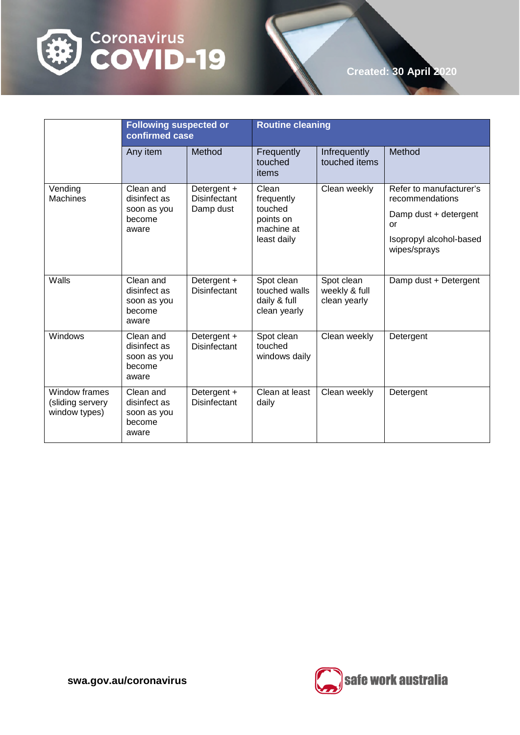



**Following suspected or confirmed case Routine cleaning**  Any item Method Frequently touched items **Infrequently** touched items **Method Vending Machines** Clean and disinfect as soon as you become aware Detergent + Disinfectant Damp dust Clean frequently touched points on machine at least daily Clean weekly  $\vert$  Refer to manufacturer's recommendations Damp dust + detergent or Isopropyl alcohol-based wipes/sprays Walls **Clean and** disinfect as soon as you become aware Detergent + **Disinfectant** Spot clean touched walls daily & full clean yearly Spot clean weekly & full clean yearly Damp dust + Detergent Windows | Clean and disinfect as soon as you become aware Detergent + **Disinfectant** Spot clean touched windows daily Clean weekly | Detergent Window frames (sliding servery window types) Clean and disinfect as soon as you become aware Detergent + **Disinfectant** Clean at least daily Clean weekly | Detergent



**Created: 30 April 2020**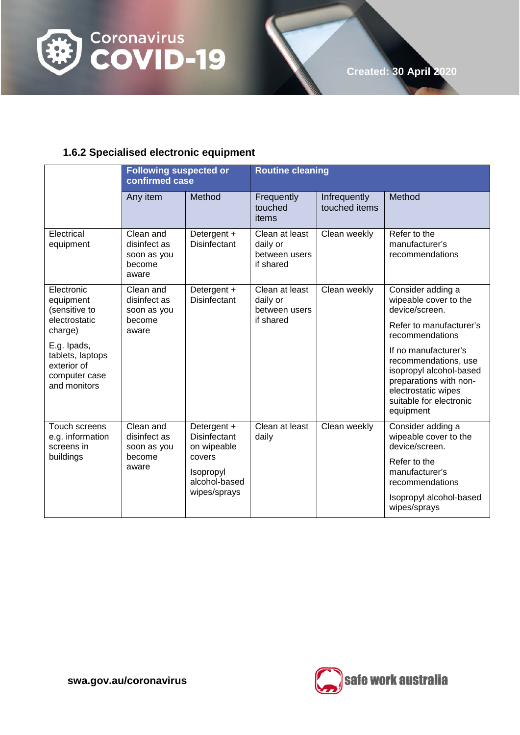

# **1.6.2 Specialised electronic equipment**

|                                                                                 | <b>Following suspected or</b><br>confirmed case                                                                                               |                                                              | <b>Routine cleaning</b>                                  |                               |                                                                                                                                                                  |  |
|---------------------------------------------------------------------------------|-----------------------------------------------------------------------------------------------------------------------------------------------|--------------------------------------------------------------|----------------------------------------------------------|-------------------------------|------------------------------------------------------------------------------------------------------------------------------------------------------------------|--|
|                                                                                 | Any item                                                                                                                                      | Method                                                       | Frequently<br>touched<br>items                           | Infrequently<br>touched items | Method                                                                                                                                                           |  |
| Electrical<br>equipment                                                         | Clean and<br>disinfect as<br>soon as you<br>become<br>aware                                                                                   | Detergent +<br><b>Disinfectant</b>                           | Clean at least<br>daily or<br>between users<br>if shared | Clean weekly                  | Refer to the<br>manufacturer's<br>recommendations                                                                                                                |  |
| Electronic<br>equipment<br>(sensitive to<br>electrostatic                       | Clean and<br>Clean weekly<br>Detergent +<br>Clean at least<br>disinfect as<br><b>Disinfectant</b><br>daily or<br>between users<br>soon as you | Consider adding a<br>wipeable cover to the<br>device/screen. |                                                          |                               |                                                                                                                                                                  |  |
| become<br>charge)<br>aware                                                      |                                                                                                                                               |                                                              | if shared                                                |                               | Refer to manufacturer's<br>recommendations                                                                                                                       |  |
| E.g. Ipads,<br>tablets, laptops<br>exterior of<br>computer case<br>and monitors |                                                                                                                                               |                                                              |                                                          |                               | If no manufacturer's<br>recommendations, use<br>isopropyl alcohol-based<br>preparations with non-<br>electrostatic wipes<br>suitable for electronic<br>equipment |  |
| <b>Touch screens</b><br>e.g. information<br>screens in<br>buildings             | Clean and<br>disinfect as<br>soon as you<br>become<br>aware                                                                                   | Detergent +<br><b>Disinfectant</b><br>on wipeable            | Clean at least<br>daily                                  | Clean weekly                  | Consider adding a<br>wipeable cover to the<br>device/screen.                                                                                                     |  |
|                                                                                 |                                                                                                                                               | covers<br>Isopropyl<br>alcohol-based<br>wipes/sprays         |                                                          |                               | Refer to the<br>manufacturer's<br>recommendations                                                                                                                |  |
|                                                                                 |                                                                                                                                               |                                                              |                                                          |                               | Isopropyl alcohol-based<br>wipes/sprays                                                                                                                          |  |

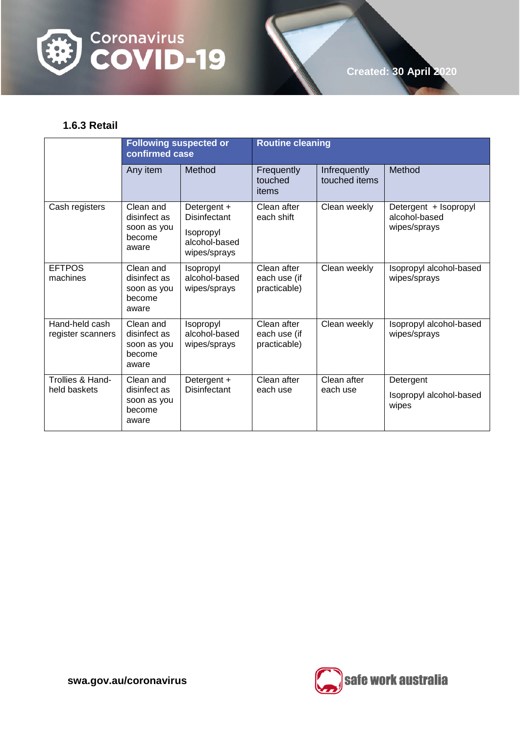

# **1.6.3 Retail**

|                                     | <b>Following suspected or</b><br>confirmed case             |                                                                           | <b>Routine cleaning</b>                     |                               |                                                        |
|-------------------------------------|-------------------------------------------------------------|---------------------------------------------------------------------------|---------------------------------------------|-------------------------------|--------------------------------------------------------|
|                                     | Any item                                                    | Method                                                                    | Frequently<br>touched<br>items              | Infrequently<br>touched items | Method                                                 |
| Cash registers                      | Clean and<br>disinfect as<br>soon as you<br>become<br>aware | Detergent +<br>Disinfectant<br>Isopropyl<br>alcohol-based<br>wipes/sprays | Clean after<br>each shift                   | Clean weekly                  | Detergent + Isopropyl<br>alcohol-based<br>wipes/sprays |
| <b>EFTPOS</b><br>machines           | Clean and<br>disinfect as<br>soon as you<br>become<br>aware | Isopropyl<br>alcohol-based<br>wipes/sprays                                | Clean after<br>each use (if<br>practicable) | Clean weekly                  | Isopropyl alcohol-based<br>wipes/sprays                |
| Hand-held cash<br>register scanners | Clean and<br>disinfect as<br>soon as you<br>become<br>aware | Isopropyl<br>alcohol-based<br>wipes/sprays                                | Clean after<br>each use (if<br>practicable) | Clean weekly                  | Isopropyl alcohol-based<br>wipes/sprays                |
| Trollies & Hand-<br>held baskets    | Clean and<br>disinfect as<br>soon as you<br>become<br>aware | Detergent +<br>Disinfectant                                               | Clean after<br>each use                     | Clean after<br>each use       | Detergent<br>Isopropyl alcohol-based<br>wipes          |

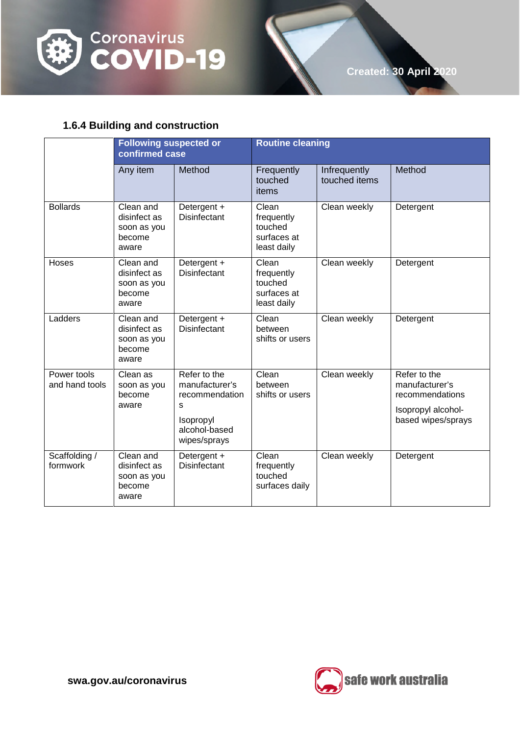

# **1.6.4 Building and construction**

|                               | <b>Following suspected or</b><br>confirmed case             |                                                                                                     | <b>Routine cleaning</b>                                      |                               |                                                                                               |
|-------------------------------|-------------------------------------------------------------|-----------------------------------------------------------------------------------------------------|--------------------------------------------------------------|-------------------------------|-----------------------------------------------------------------------------------------------|
|                               | Any item                                                    | Method                                                                                              | Frequently<br>touched<br>items                               | Infrequently<br>touched items | Method                                                                                        |
| <b>Bollards</b>               | Clean and<br>disinfect as<br>soon as you<br>become<br>aware | Detergent +<br><b>Disinfectant</b>                                                                  | Clean<br>frequently<br>touched<br>surfaces at<br>least daily | Clean weekly                  | Detergent                                                                                     |
| Hoses                         | Clean and<br>disinfect as<br>soon as you<br>become<br>aware | Detergent +<br><b>Disinfectant</b>                                                                  | Clean<br>frequently<br>touched<br>surfaces at<br>least daily | Clean weekly                  | Detergent                                                                                     |
| Ladders                       | Clean and<br>disinfect as<br>soon as you<br>become<br>aware | Detergent +<br><b>Disinfectant</b>                                                                  | Clean<br>between<br>shifts or users                          | Clean weekly                  | Detergent                                                                                     |
| Power tools<br>and hand tools | Clean as<br>soon as you<br>become<br>aware                  | Refer to the<br>manufacturer's<br>recommendation<br>s<br>Isopropyl<br>alcohol-based<br>wipes/sprays | Clean<br>between<br>shifts or users                          | Clean weekly                  | Refer to the<br>manufacturer's<br>recommendations<br>Isopropyl alcohol-<br>based wipes/sprays |
| Scaffolding /<br>formwork     | Clean and<br>disinfect as<br>soon as you<br>become<br>aware | Detergent +<br><b>Disinfectant</b>                                                                  | Clean<br>frequently<br>touched<br>surfaces daily             | Clean weekly                  | Detergent                                                                                     |

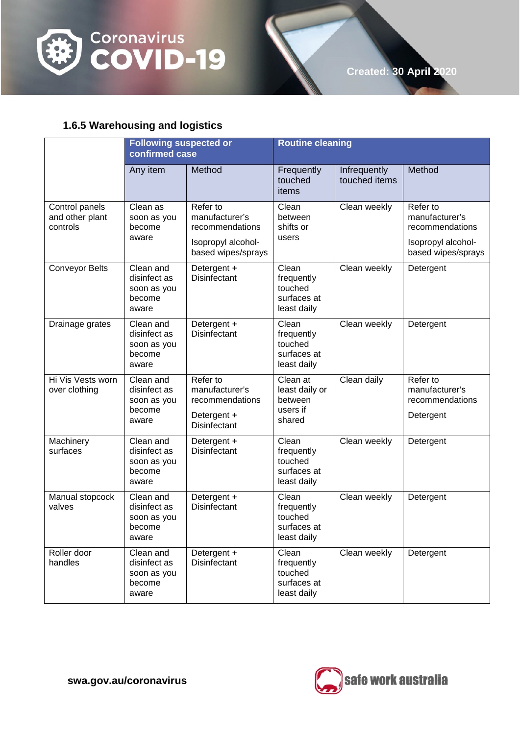

# **1.6.5 Warehousing and logistics**

|                                               | <b>Following suspected or</b><br>confirmed case             |                                                                                           | <b>Routine cleaning</b>                                      |                               |                                                                                           |
|-----------------------------------------------|-------------------------------------------------------------|-------------------------------------------------------------------------------------------|--------------------------------------------------------------|-------------------------------|-------------------------------------------------------------------------------------------|
|                                               | Any item                                                    | Method                                                                                    | Frequently<br>touched<br>items                               | Infrequently<br>touched items | Method                                                                                    |
| Control panels<br>and other plant<br>controls | Clean as<br>soon as you<br>become<br>aware                  | Refer to<br>manufacturer's<br>recommendations<br>Isopropyl alcohol-<br>based wipes/sprays | Clean<br>between<br>shifts or<br>users                       | Clean weekly                  | Refer to<br>manufacturer's<br>recommendations<br>Isopropyl alcohol-<br>based wipes/sprays |
| <b>Conveyor Belts</b>                         | Clean and<br>disinfect as<br>soon as you<br>become<br>aware | Detergent +<br><b>Disinfectant</b>                                                        | Clean<br>frequently<br>touched<br>surfaces at<br>least daily | Clean weekly                  | Detergent                                                                                 |
| Drainage grates                               | Clean and<br>disinfect as<br>soon as you<br>become<br>aware | Detergent +<br><b>Disinfectant</b>                                                        | Clean<br>frequently<br>touched<br>surfaces at<br>least daily | Clean weekly                  | Detergent                                                                                 |
| Hi Vis Vests worn<br>over clothing            | Clean and<br>disinfect as<br>soon as you<br>become<br>aware | Refer to<br>manufacturer's<br>recommendations<br>Detergent +<br>Disinfectant              | Clean at<br>least daily or<br>between<br>users if<br>shared  | Clean daily                   | Refer to<br>manufacturer's<br>recommendations<br>Detergent                                |
| Machinery<br>surfaces                         | Clean and<br>disinfect as<br>soon as you<br>become<br>aware | Detergent +<br><b>Disinfectant</b>                                                        | Clean<br>frequently<br>touched<br>surfaces at<br>least daily | Clean weekly                  | Detergent                                                                                 |
| Manual stopcock<br>valves                     | Clean and<br>disinfect as<br>soon as you<br>become<br>aware | Detergent +<br>Disinfectant                                                               | Clean<br>frequently<br>touched<br>surfaces at<br>least daily | Clean weekly                  | Detergent                                                                                 |
| Roller door<br>handles                        | Clean and<br>disinfect as<br>soon as you<br>become<br>aware | Detergent +<br>Disinfectant                                                               | Clean<br>frequently<br>touched<br>surfaces at<br>least daily | Clean weekly                  | Detergent                                                                                 |

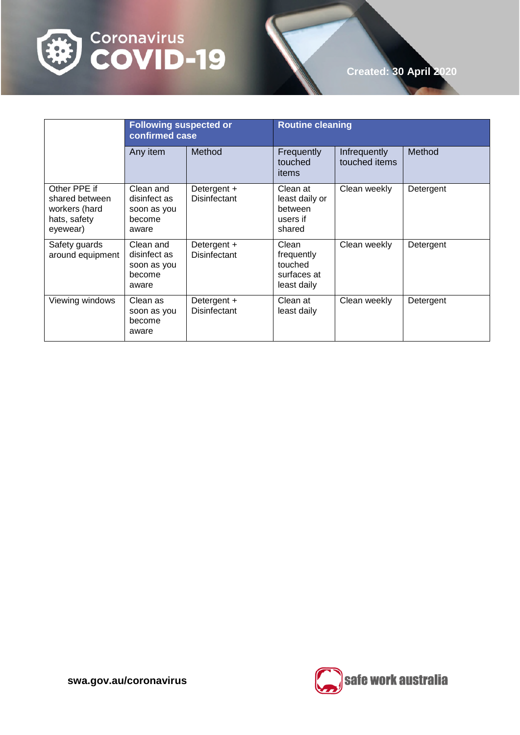

|                                                                             |                                                             | <b>Following suspected or</b><br>confirmed case |                                                              | <b>Routine cleaning</b>       |           |  |
|-----------------------------------------------------------------------------|-------------------------------------------------------------|-------------------------------------------------|--------------------------------------------------------------|-------------------------------|-----------|--|
|                                                                             | Any item                                                    | Method                                          | Frequently<br>touched<br>items                               | Infrequently<br>touched items | Method    |  |
| Other PPE if<br>shared between<br>workers (hard<br>hats, safety<br>eyewear) | Clean and<br>disinfect as<br>soon as you<br>become<br>aware | Detergent +<br>Disinfectant                     | Clean at<br>least daily or<br>between<br>users if<br>shared  | Clean weekly                  | Detergent |  |
| Safety guards<br>around equipment                                           | Clean and<br>disinfect as<br>soon as you<br>become<br>aware | Detergent +<br><b>Disinfectant</b>              | Clean<br>frequently<br>touched<br>surfaces at<br>least daily | Clean weekly                  | Detergent |  |
| Viewing windows                                                             | Clean as<br>soon as you<br>become<br>aware                  | Detergent +<br>Disinfectant                     | Clean at<br>least daily                                      | Clean weekly                  | Detergent |  |